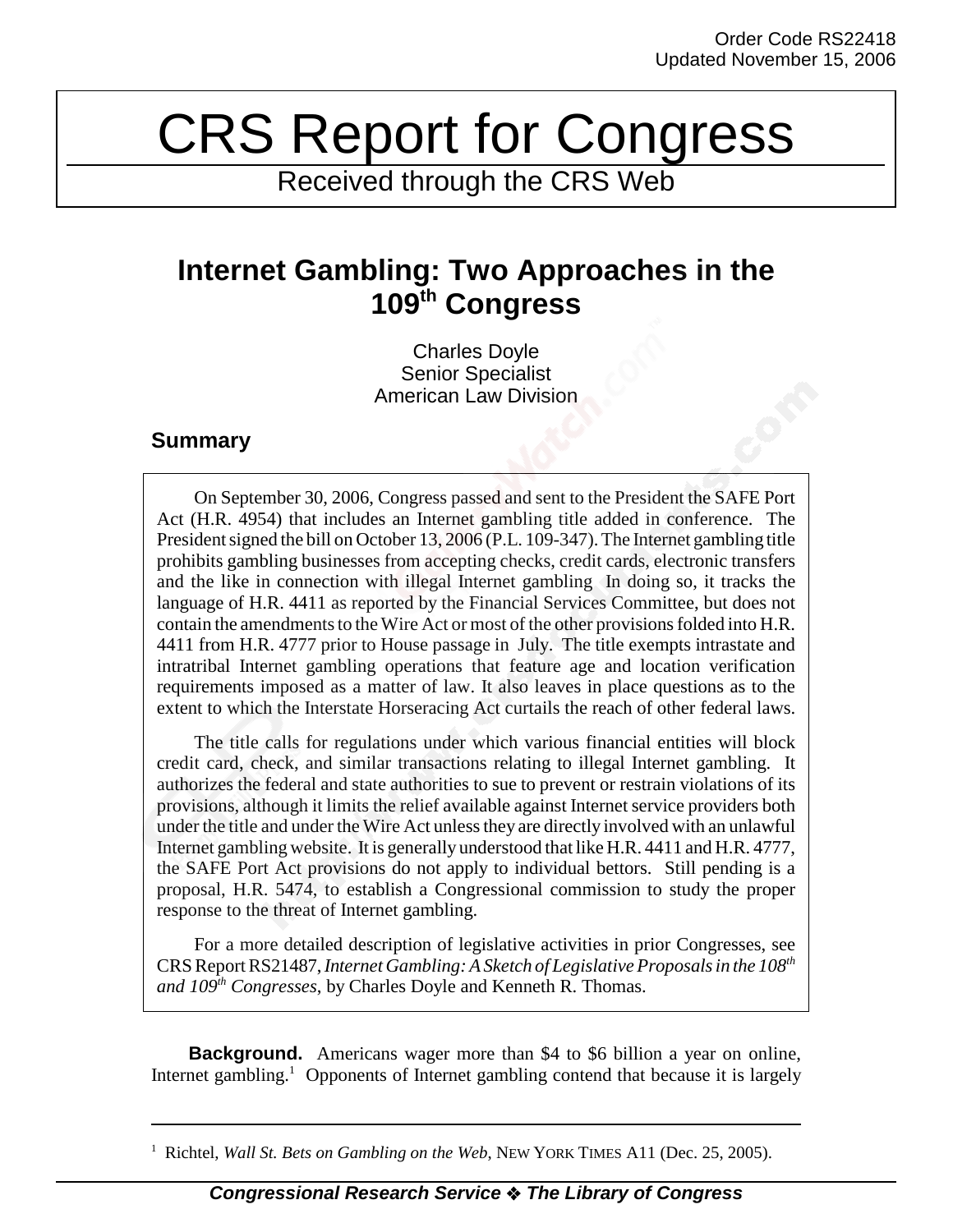## CRS Report for Congress

Received through the CRS Web

## **Internet Gambling: Two Approaches in the 109th Congress**

Charles Doyle Senior Specialist American Law Division

## **Summary**

On September 30, 2006, Congress passed and sent to the President the SAFE Port Act (H.R. 4954) that includes an Internet gambling title added in conference. The President signed the bill on October 13, 2006 (P.L. 109-347). The Internet gambling title prohibits gambling businesses from accepting checks, credit cards, electronic transfers and the like in connection with illegal Internet gambling In doing so, it tracks the language of H.R. 4411 as reported by the Financial Services Committee, but does not contain the amendments to the Wire Act or most of the other provisions folded into H.R. 4411 from H.R. 4777 prior to House passage in July. The title exempts intrastate and intratribal Internet gambling operations that feature age and location verification requirements imposed as a matter of law. It also leaves in place questions as to the extent to which the Interstate Horseracing Act curtails the reach of other federal laws.

The title calls for regulations under which various financial entities will block credit card, check, and similar transactions relating to illegal Internet gambling. It authorizes the federal and state authorities to sue to prevent or restrain violations of its provisions, although it limits the relief available against Internet service providers both under the title and under the Wire Act unless they are directly involved with an unlawful Internet gambling website. It is generally understood that like H.R. 4411 and H.R. 4777, the SAFE Port Act provisions do not apply to individual bettors. Still pending is a proposal, H.R. 5474, to establish a Congressional commission to study the proper response to the threat of Internet gambling.

For a more detailed description of legislative activities in prior Congresses, see CRS Report RS21487, *Internet Gambling: A Sketch of Legislative Proposals in the 108th and 109th Congresses*, by Charles Doyle and Kenneth R. Thomas.

**Background.** Americans wager more than \$4 to \$6 billion a year on online, Internet gambling.<sup>1</sup> Opponents of Internet gambling contend that because it is largely

<sup>&</sup>lt;sup>1</sup> Richtel, *Wall St. Bets on Gambling on the Web*, NEW YORK TIMES A11 (Dec. 25, 2005).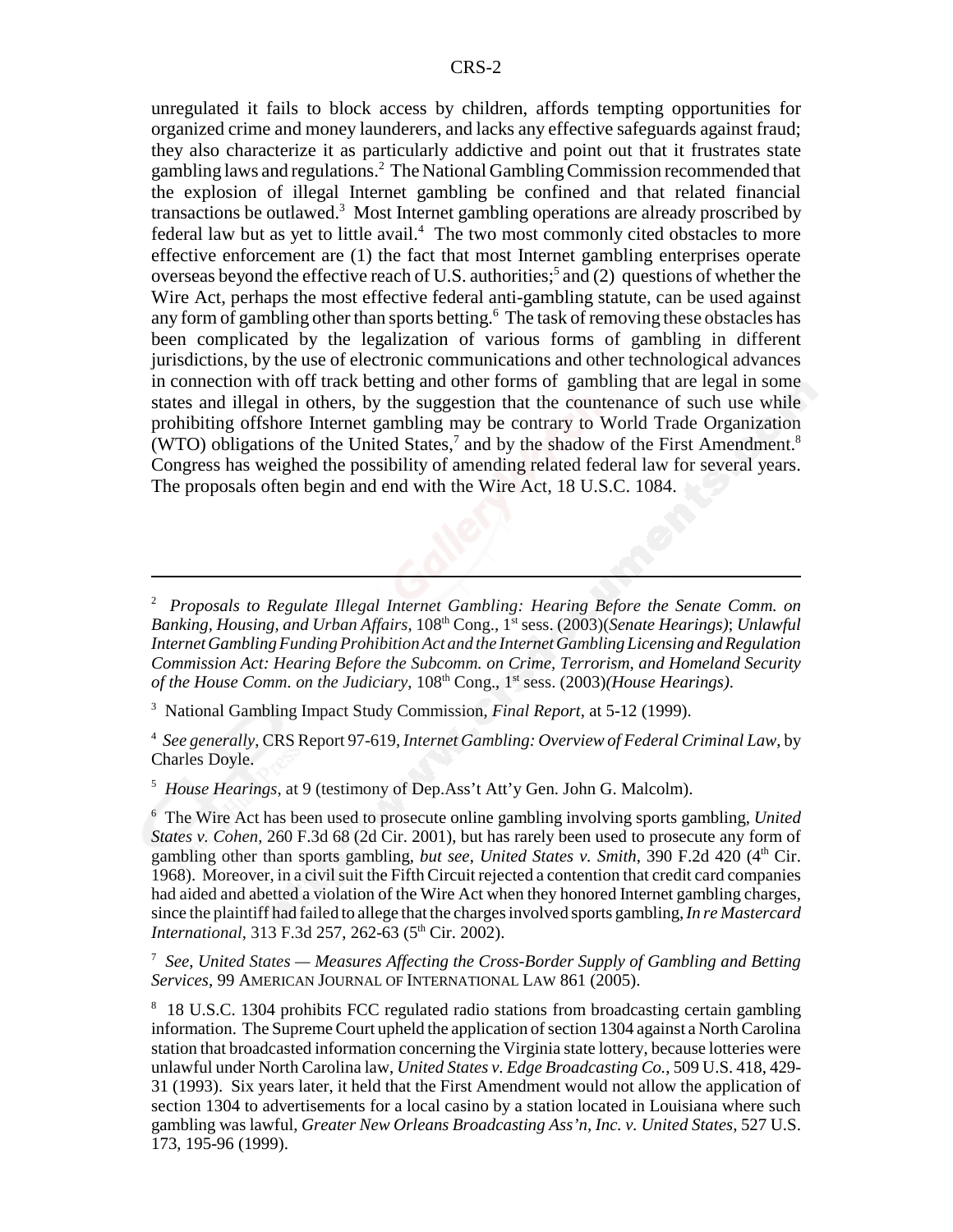unregulated it fails to block access by children, affords tempting opportunities for organized crime and money launderers, and lacks any effective safeguards against fraud; they also characterize it as particularly addictive and point out that it frustrates state gambling laws and regulations.<sup>2</sup> The National Gambling Commission recommended that the explosion of illegal Internet gambling be confined and that related financial transactions be outlawed.<sup>3</sup> Most Internet gambling operations are already proscribed by federal law but as yet to little avail.<sup>4</sup> The two most commonly cited obstacles to more effective enforcement are (1) the fact that most Internet gambling enterprises operate overseas beyond the effective reach of U.S. authorities;<sup>5</sup> and (2) questions of whether the Wire Act, perhaps the most effective federal anti-gambling statute, can be used against any form of gambling other than sports betting.<sup>6</sup> The task of removing these obstacles has been complicated by the legalization of various forms of gambling in different jurisdictions, by the use of electronic communications and other technological advances in connection with off track betting and other forms of gambling that are legal in some states and illegal in others, by the suggestion that the countenance of such use while prohibiting offshore Internet gambling may be contrary to World Trade Organization (WTO) obligations of the United States,<sup>7</sup> and by the shadow of the First Amendment.<sup>8</sup> Congress has weighed the possibility of amending related federal law for several years. The proposals often begin and end with the Wire Act, 18 U.S.C. 1084.

4 *See generally*, CRS Report 97-619, *Internet Gambling: Overview of Federal Criminal Law*, by Charles Doyle.

5 *House Hearings*, at 9 (testimony of Dep.Ass't Att'y Gen. John G. Malcolm).

6 The Wire Act has been used to prosecute online gambling involving sports gambling, *United States v. Cohen*, 260 F.3d 68 (2d Cir. 2001), but has rarely been used to prosecute any form of gambling other than sports gambling, *but see*, *United States v. Smith*, 390 F.2d 420 (4<sup>th</sup> Cir. 1968). Moreover, in a civil suit the Fifth Circuit rejected a contention that credit card companies had aided and abetted a violation of the Wire Act when they honored Internet gambling charges, since the plaintiff had failed to allege that the charges involved sports gambling, *In re Mastercard International*, 313 F.3d 257, 262-63 (5<sup>th</sup> Cir. 2002).

7 *See*, *United States — Measures Affecting the Cross-Border Supply of Gambling and Betting Services*, 99 AMERICAN JOURNAL OF INTERNATIONAL LAW 861 (2005).

<sup>2</sup> *Proposals to Regulate Illegal Internet Gambling: Hearing Before the Senate Comm. on Banking, Housing, and Urban Affairs*, 108th Cong., 1st sess. (2003)(*Senate Hearings)*; *Unlawful Internet Gambling Funding Prohibition Act and the Internet Gambling Licensing and Regulation Commission Act: Hearing Before the Subcomm. on Crime, Terrorism, and Homeland Security of the House Comm. on the Judiciary,*  $108<sup>th</sup> Cong., 1<sup>st</sup> sess. (2003)*(House Hearings)*.$ 

<sup>3</sup> National Gambling Impact Study Commission, *Final Report*, at 5-12 (1999).

<sup>&</sup>lt;sup>8</sup> 18 U.S.C. 1304 prohibits FCC regulated radio stations from broadcasting certain gambling information. The Supreme Court upheld the application of section 1304 against a North Carolina station that broadcasted information concerning the Virginia state lottery, because lotteries were unlawful under North Carolina law, *United States v. Edge Broadcasting Co.*, 509 U.S. 418, 429- 31 (1993). Six years later, it held that the First Amendment would not allow the application of section 1304 to advertisements for a local casino by a station located in Louisiana where such gambling was lawful, *Greater New Orleans Broadcasting Ass'n, Inc. v. United States*, 527 U.S. 173, 195-96 (1999).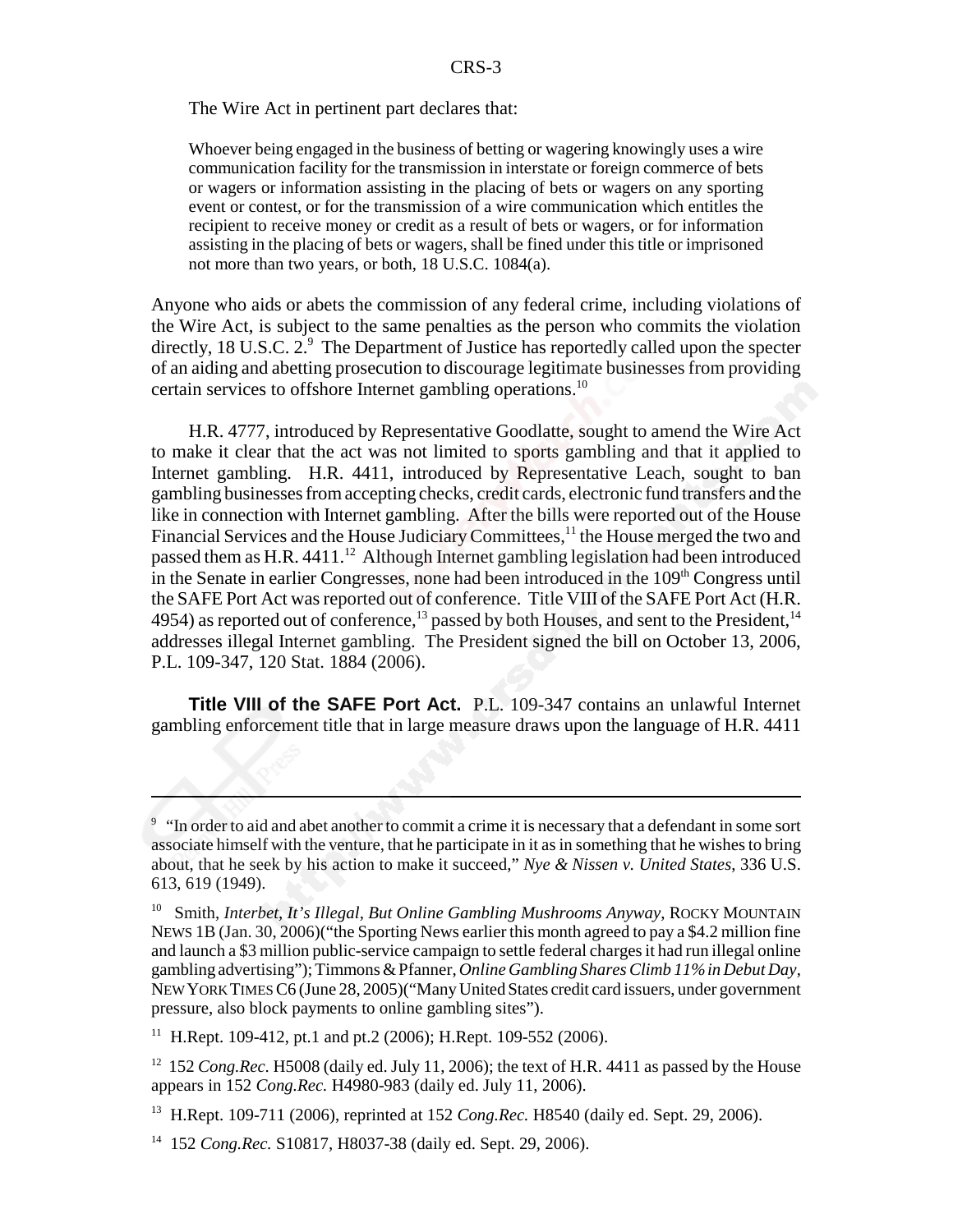The Wire Act in pertinent part declares that:

Whoever being engaged in the business of betting or wagering knowingly uses a wire communication facility for the transmission in interstate or foreign commerce of bets or wagers or information assisting in the placing of bets or wagers on any sporting event or contest, or for the transmission of a wire communication which entitles the recipient to receive money or credit as a result of bets or wagers, or for information assisting in the placing of bets or wagers, shall be fined under this title or imprisoned not more than two years, or both, 18 U.S.C. 1084(a).

Anyone who aids or abets the commission of any federal crime, including violations of the Wire Act, is subject to the same penalties as the person who commits the violation directly, 18 U.S.C. 2.9 The Department of Justice has reportedly called upon the specter of an aiding and abetting prosecution to discourage legitimate businesses from providing certain services to offshore Internet gambling operations.10

H.R. 4777, introduced by Representative Goodlatte, sought to amend the Wire Act to make it clear that the act was not limited to sports gambling and that it applied to Internet gambling. H.R. 4411, introduced by Representative Leach, sought to ban gambling businesses from accepting checks, credit cards, electronic fund transfers and the like in connection with Internet gambling. After the bills were reported out of the House Financial Services and the House Judiciary Committees,<sup>11</sup> the House merged the two and passed them as  $H.R. 4411<sup>12</sup>$  Although Internet gambling legislation had been introduced in the Senate in earlier Congresses, none had been introduced in the 109<sup>th</sup> Congress until the SAFE Port Act was reported out of conference. Title VIII of the SAFE Port Act (H.R. 4954) as reported out of conference,<sup>13</sup> passed by both Houses, and sent to the President,<sup>14</sup> addresses illegal Internet gambling. The President signed the bill on October 13, 2006, P.L. 109-347, 120 Stat. 1884 (2006).

**Title VIII of the SAFE Port Act.** P.L. 109-347 contains an unlawful Internet gambling enforcement title that in large measure draws upon the language of H.R. 4411

<sup>11</sup> H.Rept. 109-412, pt.1 and pt.2 (2006); H.Rept. 109-552 (2006).

<sup>12</sup> 152 *Cong.Rec.* H5008 (daily ed. July 11, 2006); the text of H.R. 4411 as passed by the House appears in 152 *Cong.Rec.* H4980-983 (daily ed. July 11, 2006).

<sup>&</sup>lt;sup>9</sup> "In order to aid and abet another to commit a crime it is necessary that a defendant in some sort associate himself with the venture, that he participate in it as in something that he wishes to bring about, that he seek by his action to make it succeed," *Nye & Nissen v. United States*, 336 U.S. 613, 619 (1949).

<sup>&</sup>lt;sup>10</sup> Smith, *Interbet, It's Illegal, But Online Gambling Mushrooms Anyway*, ROCKY MOUNTAIN NEWS 1B (Jan. 30, 2006)("the Sporting News earlier this month agreed to pay a \$4.2 million fine and launch a \$3 million public-service campaign to settle federal charges it had run illegal online gambling advertising"); Timmons & Pfanner, *Online Gambling Shares Climb 11% in Debut Day*, NEW YORK TIMES C6 (June 28, 2005)("Many United States credit card issuers, under government pressure, also block payments to online gambling sites").

<sup>13</sup> H.Rept. 109-711 (2006), reprinted at 152 *Cong.Rec.* H8540 (daily ed. Sept. 29, 2006).

<sup>14 152</sup> *Cong.Rec.* S10817, H8037-38 (daily ed. Sept. 29, 2006).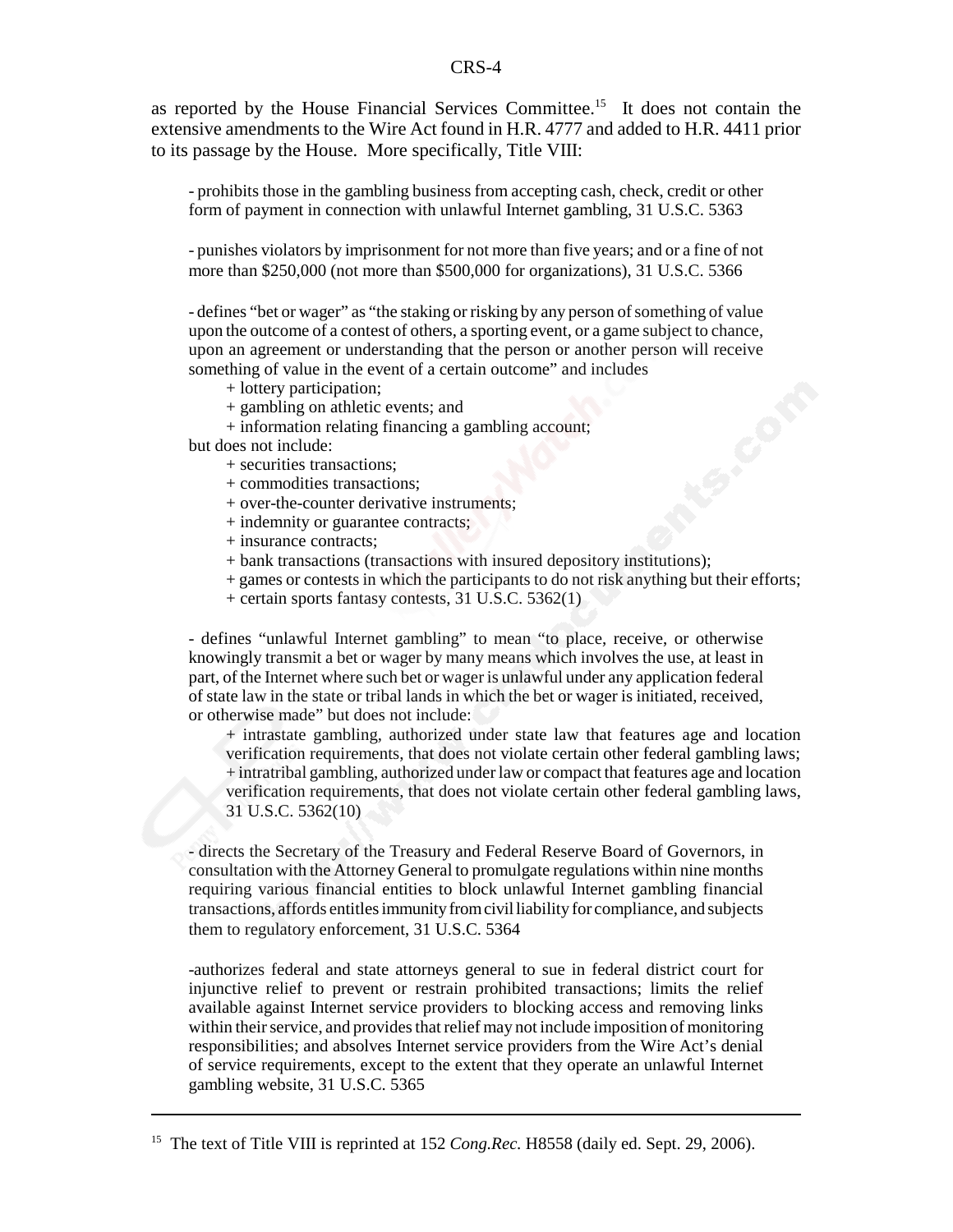## CRS-4

as reported by the House Financial Services Committee.15 It does not contain the extensive amendments to the Wire Act found in H.R. 4777 and added to H.R. 4411 prior to its passage by the House. More specifically, Title VIII:

- prohibits those in the gambling business from accepting cash, check, credit or other form of payment in connection with unlawful Internet gambling, 31 U.S.C. 5363

- punishes violators by imprisonment for not more than five years; and or a fine of not more than \$250,000 (not more than \$500,000 for organizations), 31 U.S.C. 5366

- defines "bet or wager" as "the staking or risking by any person of something of value upon the outcome of a contest of others, a sporting event, or a game subject to chance, upon an agreement or understanding that the person or another person will receive something of value in the event of a certain outcome" and includes

- + lottery participation;
- + gambling on athletic events; and
- + information relating financing a gambling account;
- but does not include:
	- + securities transactions;
	- + commodities transactions;
	- + over-the-counter derivative instruments;
	- + indemnity or guarantee contracts;
	- + insurance contracts;
	- + bank transactions (transactions with insured depository institutions);
	- + games or contests in which the participants to do not risk anything but their efforts;
	- + certain sports fantasy contests, 31 U.S.C. 5362(1)

- defines "unlawful Internet gambling" to mean "to place, receive, or otherwise knowingly transmit a bet or wager by many means which involves the use, at least in part, of the Internet where such bet or wager is unlawful under any application federal of state law in the state or tribal lands in which the bet or wager is initiated, received, or otherwise made" but does not include:

+ intrastate gambling, authorized under state law that features age and location verification requirements, that does not violate certain other federal gambling laws; + intratribal gambling, authorized under law or compact that features age and location verification requirements, that does not violate certain other federal gambling laws, 31 U.S.C. 5362(10)

- directs the Secretary of the Treasury and Federal Reserve Board of Governors, in consultation with the Attorney General to promulgate regulations within nine months requiring various financial entities to block unlawful Internet gambling financial transactions, affords entitles immunity from civil liability for compliance, and subjects them to regulatory enforcement, 31 U.S.C. 5364

-authorizes federal and state attorneys general to sue in federal district court for injunctive relief to prevent or restrain prohibited transactions; limits the relief available against Internet service providers to blocking access and removing links within their service, and provides that relief may not include imposition of monitoring responsibilities; and absolves Internet service providers from the Wire Act's denial of service requirements, except to the extent that they operate an unlawful Internet gambling website, 31 U.S.C. 5365

<sup>&</sup>lt;sup>15</sup> The text of Title VIII is reprinted at 152 *Cong.Rec.* H8558 (daily ed. Sept. 29, 2006).